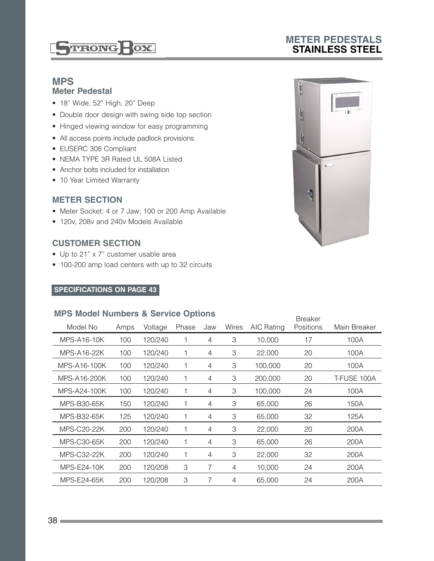**STIRONG BOX** 

## **METER PEDESTALS STAINLESS STEEL**

#### **MPS Meter Pedestal**

- 18" Wide, 52" High, 20" Deep
- Double door design with swing side top section
- Hinged viewing window for easy programming
- All access points include padlock provisions
- EUSERC 308 Compliant
- NEMA TYPE 3R Rated UL 508A Listed
- Anchor bolts included for installation
- 10 Year Limited Warranty

#### **METER SECTION**

- Meter Socket: 4 or 7 Jaw; 100 or 200 Amp Available
- 120v, 208v and 240v Models Available

### **CUSTOMER SECTION**

- Up to 21" x 7" customer usable area
- 100-200 amp load centers with up to 32 circuits

#### **SPECIFICATIONS ON PAGE 43**

#### **MPS Model Numbers & Service Options**

| ~~~~~~~~~~~~       |      | <b>Breaker</b> |       |     |       |            |           |              |
|--------------------|------|----------------|-------|-----|-------|------------|-----------|--------------|
| Model No           | Amps | Voltage        | Phase | Jaw | Wires | AIC Rating | Positions | Main Breaker |
| MPS-A16-10K        | 100  | 120/240        |       | 4   | 3     | 10,000     | 17        | 100A         |
| MPS-A16-22K        | 100  | 120/240        | 1     | 4   | 3     | 22,000     | 20        | 100A         |
| MPS-A16-100K       | 100  | 120/240        | 1     | 4   | 3     | 100,000    | 20        | 100A         |
| MPS-A16-200K       | 100  | 120/240        | 1     | 4   | 3     | 200,000    | 20        | T-FUSE 100A  |
| MPS-A24-100K       | 100  | 120/240        | 1     | 4   | 3     | 100,000    | 24        | 100A         |
| MPS-B30-65K        | 150  | 120/240        | 1     | 4   | 3     | 65,000     | 26        | 150A         |
| MPS-B32-65K        | 125  | 120/240        | 1     | 4   | 3     | 65,000     | 32        | 125A         |
| <b>MPS-C20-22K</b> | 200  | 120/240        | 1     | 4   | 3     | 22,000     | 20        | 200A         |
| <b>MPS-C30-65K</b> | 200  | 120/240        | 1     | 4   | 3     | 65,000     | 26        | 200A         |
| MPS-C32-22K        | 200  | 120/240        | 1     | 4   | 3     | 22,000     | 32        | 200A         |
| MPS-E24-10K        | 200  | 120/208        | 3     | 7   | 4     | 10,000     | 24        | 200A         |
| MPS-E24-65K        | 200  | 120/208        | З     | 7   | 4     | 65,000     | 24        | 200A         |